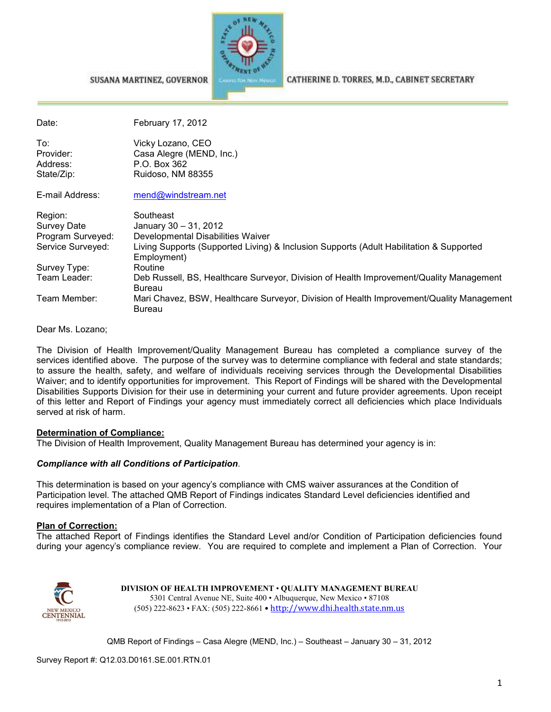

CATHERINE D. TORRES, M.D., CABINET SECRETARY

| Date:                                                            | February 17, 2012                                                                                                                                                                 |
|------------------------------------------------------------------|-----------------------------------------------------------------------------------------------------------------------------------------------------------------------------------|
| To:<br>Provider:<br>Address:<br>State/Zip:                       | Vicky Lozano, CEO<br>Casa Alegre (MEND, Inc.)<br>P.O. Box 362<br>Ruidoso, NM 88355                                                                                                |
| E-mail Address:                                                  | mend@windstream.net                                                                                                                                                               |
| Region:<br>Survey Date<br>Program Surveyed:<br>Service Surveyed: | Southeast<br>January 30 - 31, 2012<br>Developmental Disabilities Waiver<br>Living Supports (Supported Living) & Inclusion Supports (Adult Habilitation & Supported<br>Employment) |
| Survey Type:<br>Team Leader:                                     | Routine<br>Deb Russell, BS, Healthcare Surveyor, Division of Health Improvement/Quality Management<br><b>Bureau</b>                                                               |
| Team Member:                                                     | Mari Chavez, BSW, Healthcare Surveyor, Division of Health Improvement/Quality Management<br><b>Bureau</b>                                                                         |

Dear Ms. Lozano;

The Division of Health Improvement/Quality Management Bureau has completed a compliance survey of the services identified above. The purpose of the survey was to determine compliance with federal and state standards; to assure the health, safety, and welfare of individuals receiving services through the Developmental Disabilities Waiver; and to identify opportunities for improvement. This Report of Findings will be shared with the Developmental Disabilities Supports Division for their use in determining your current and future provider agreements. Upon receipt of this letter and Report of Findings your agency must immediately correct all deficiencies which place Individuals served at risk of harm.

#### **Determination of Compliance:**

The Division of Health Improvement, Quality Management Bureau has determined your agency is in:

#### *Compliance with all Conditions of Participation*.

SUSANA MARTINEZ, GOVERNOR

This determination is based on your agency's compliance with CMS waiver assurances at the Condition of Participation level. The attached QMB Report of Findings indicates Standard Level deficiencies identified and requires implementation of a Plan of Correction.

#### **Plan of Correction:**

The attached Report of Findings identifies the Standard Level and/or Condition of Participation deficiencies found during your agency's compliance review. You are required to complete and implement a Plan of Correction. Your



**DIVISION OF HEALTH IMPROVEMENT** • **QUALITY MANAGEMENT BUREAU** 5301 Central Avenue NE, Suite 400 • Albuquerque, New Mexico • 87108 (505) 222-8623 • FAX: (505) 222-8661 • http://www.dhi.health.state.nm.us

QMB Report of Findings – Casa Alegre (MEND, Inc.) – Southeast – January 30 – 31, 2012

Survey Report #: Q12.03.D0161.SE.001.RTN.01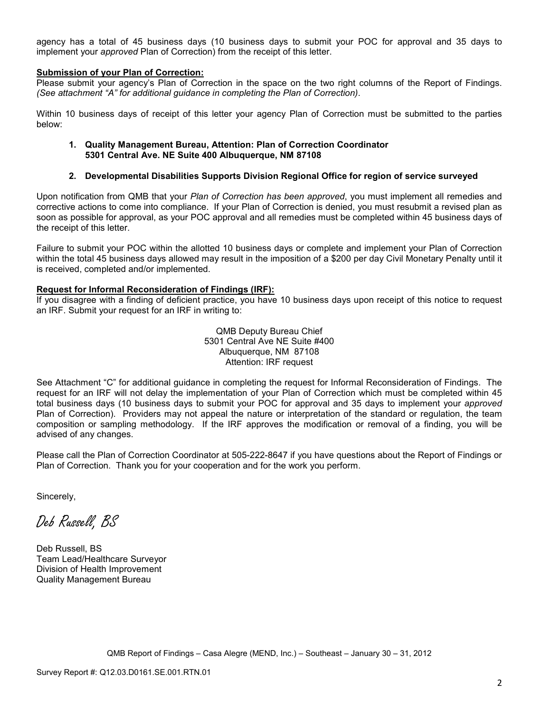agency has a total of 45 business days (10 business days to submit your POC for approval and 35 days to implement your *approved* Plan of Correction) from the receipt of this letter.

#### **Submission of your Plan of Correction:**

Please submit your agency's Plan of Correction in the space on the two right columns of the Report of Findings. *(See attachment "A" for additional guidance in completing the Plan of Correction)*.

Within 10 business days of receipt of this letter your agency Plan of Correction must be submitted to the parties below:

#### **1. Quality Management Bureau, Attention: Plan of Correction Coordinator 5301 Central Ave. NE Suite 400 Albuquerque, NM 87108**

#### **2. Developmental Disabilities Supports Division Regional Office for region of service surveyed**

Upon notification from QMB that your *Plan of Correction has been approved*, you must implement all remedies and corrective actions to come into compliance. If your Plan of Correction is denied, you must resubmit a revised plan as soon as possible for approval, as your POC approval and all remedies must be completed within 45 business days of the receipt of this letter.

Failure to submit your POC within the allotted 10 business days or complete and implement your Plan of Correction within the total 45 business days allowed may result in the imposition of a \$200 per day Civil Monetary Penalty until it is received, completed and/or implemented.

#### **Request for Informal Reconsideration of Findings (IRF):**

If you disagree with a finding of deficient practice, you have 10 business days upon receipt of this notice to request an IRF. Submit your request for an IRF in writing to:

> QMB Deputy Bureau Chief 5301 Central Ave NE Suite #400 Albuquerque, NM 87108 Attention: IRF request

See Attachment "C" for additional guidance in completing the request for Informal Reconsideration of Findings. The request for an IRF will not delay the implementation of your Plan of Correction which must be completed within 45 total business days (10 business days to submit your POC for approval and 35 days to implement your *approved* Plan of Correction). Providers may not appeal the nature or interpretation of the standard or regulation, the team composition or sampling methodology. If the IRF approves the modification or removal of a finding, you will be advised of any changes.

Please call the Plan of Correction Coordinator at 505-222-8647 if you have questions about the Report of Findings or Plan of Correction. Thank you for your cooperation and for the work you perform.

Sincerely,

Deb Russell, BS

Deb Russell, BS Team Lead/Healthcare Surveyor Division of Health Improvement Quality Management Bureau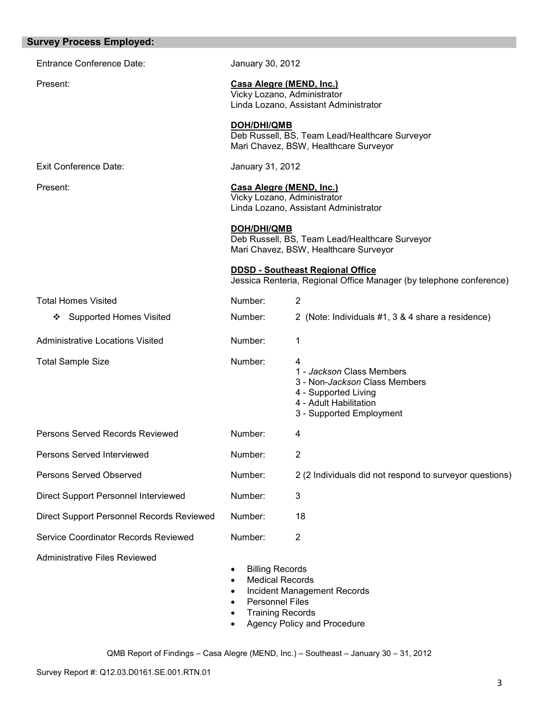| <b>Survey Process Employed:</b>           |                                                                                                                                                   |                                                                                                                                               |
|-------------------------------------------|---------------------------------------------------------------------------------------------------------------------------------------------------|-----------------------------------------------------------------------------------------------------------------------------------------------|
| <b>Entrance Conference Date:</b>          | January 30, 2012                                                                                                                                  |                                                                                                                                               |
| Present:                                  |                                                                                                                                                   | Casa Alegre (MEND, Inc.)<br>Vicky Lozano, Administrator<br>Linda Lozano, Assistant Administrator                                              |
|                                           | DOH/DHI/QMB                                                                                                                                       | Deb Russell, BS, Team Lead/Healthcare Surveyor<br>Mari Chavez, BSW, Healthcare Surveyor                                                       |
| <b>Exit Conference Date:</b>              | January 31, 2012                                                                                                                                  |                                                                                                                                               |
| Present:                                  | Casa Alegre (MEND, Inc.)<br>Vicky Lozano, Administrator<br>Linda Lozano, Assistant Administrator                                                  |                                                                                                                                               |
|                                           | <b>DOH/DHI/QMB</b>                                                                                                                                | Deb Russell, BS, Team Lead/Healthcare Surveyor<br>Mari Chavez, BSW, Healthcare Surveyor                                                       |
|                                           |                                                                                                                                                   | <b>DDSD - Southeast Regional Office</b><br>Jessica Renteria, Regional Office Manager (by telephone conference)                                |
| <b>Total Homes Visited</b>                | Number:                                                                                                                                           | $\overline{2}$                                                                                                                                |
| <b>Supported Homes Visited</b><br>❖       | Number:                                                                                                                                           | 2 (Note: Individuals #1, 3 & 4 share a residence)                                                                                             |
| Administrative Locations Visited          | Number:                                                                                                                                           | 1                                                                                                                                             |
| <b>Total Sample Size</b>                  | Number:                                                                                                                                           | 4<br>1 - Jackson Class Members<br>3 - Non-Jackson Class Members<br>4 - Supported Living<br>4 - Adult Habilitation<br>3 - Supported Employment |
| Persons Served Records Reviewed           | Number:                                                                                                                                           | 4                                                                                                                                             |
| Persons Served Interviewed                | Number:                                                                                                                                           | $\overline{2}$                                                                                                                                |
| <b>Persons Served Observed</b>            | Number:                                                                                                                                           | 2 (2 Individuals did not respond to surveyor questions)                                                                                       |
| Direct Support Personnel Interviewed      | Number:                                                                                                                                           | $\mathbf{3}$                                                                                                                                  |
| Direct Support Personnel Records Reviewed | Number:                                                                                                                                           | 18                                                                                                                                            |
| Service Coordinator Records Reviewed      | Number:                                                                                                                                           | $\overline{2}$                                                                                                                                |
| <b>Administrative Files Reviewed</b>      | <b>Billing Records</b><br>$\bullet$<br><b>Medical Records</b><br>$\bullet$<br>$\bullet$<br><b>Personnel Files</b><br>٠<br><b>Training Records</b> | Incident Management Records<br>Agency Policy and Procedure                                                                                    |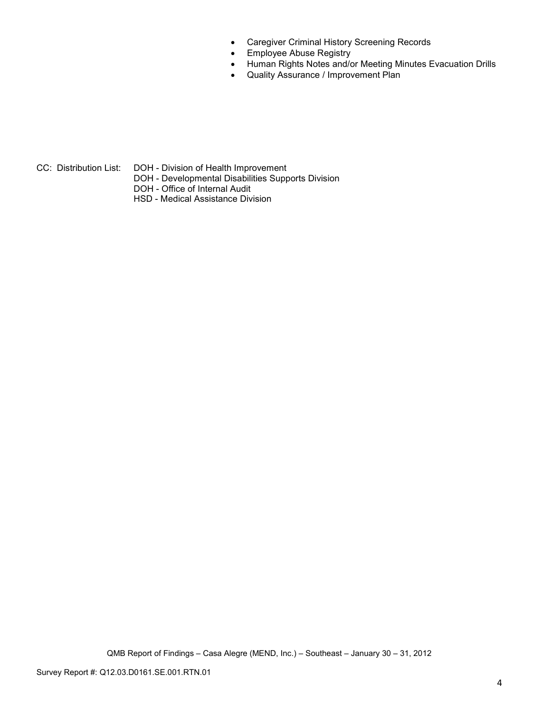- Caregiver Criminal History Screening Records
- Employee Abuse Registry
- Human Rights Notes and/or Meeting Minutes Evacuation Drills
- Quality Assurance / Improvement Plan

CC: Distribution List: DOH - Division of Health Improvement

- DOH Developmental Disabilities Supports Division
- DOH Office of Internal Audit
- HSD Medical Assistance Division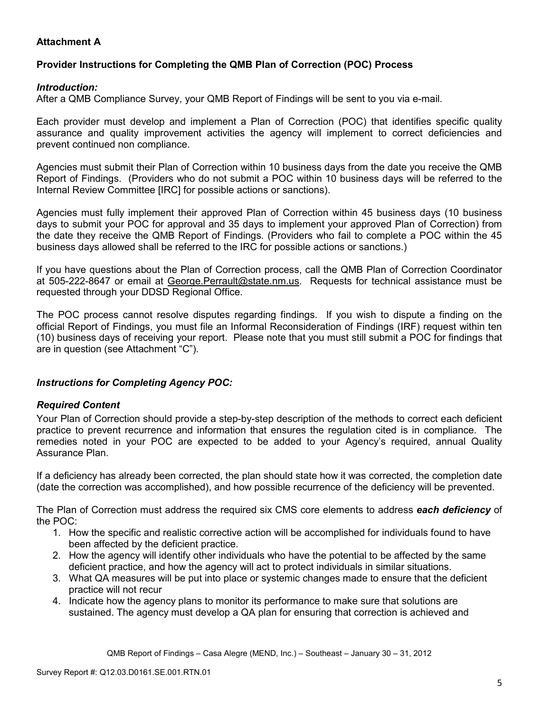# **Attachment A**

# **Provider Instructions for Completing the QMB Plan of Correction (POC) Process**

### *Introduction:*

After a QMB Compliance Survey, your QMB Report of Findings will be sent to you via e-mail.

Each provider must develop and implement a Plan of Correction (POC) that identifies specific quality assurance and quality improvement activities the agency will implement to correct deficiencies and prevent continued non compliance.

Agencies must submit their Plan of Correction within 10 business days from the date you receive the QMB Report of Findings. (Providers who do not submit a POC within 10 business days will be referred to the Internal Review Committee [IRC] for possible actions or sanctions).

Agencies must fully implement their approved Plan of Correction within 45 business days (10 business days to submit your POC for approval and 35 days to implement your approved Plan of Correction) from the date they receive the QMB Report of Findings. (Providers who fail to complete a POC within the 45 business days allowed shall be referred to the IRC for possible actions or sanctions.)

If you have questions about the Plan of Correction process, call the QMB Plan of Correction Coordinator at 505-222-8647 or email at George. Perrault@state.nm.us. Requests for technical assistance must be requested through your DDSD Regional Office.

The POC process cannot resolve disputes regarding findings. If you wish to dispute a finding on the official Report of Findings, you must file an Informal Reconsideration of Findings (IRF) request within ten (10) business days of receiving your report. Please note that you must still submit a POC for findings that are in question (see Attachment "C").

## *Instructions for Completing Agency POC:*

## *Required Content*

Your Plan of Correction should provide a step-by-step description of the methods to correct each deficient practice to prevent recurrence and information that ensures the regulation cited is in compliance. The remedies noted in your POC are expected to be added to your Agency's required, annual Quality Assurance Plan.

If a deficiency has already been corrected, the plan should state how it was corrected, the completion date (date the correction was accomplished), and how possible recurrence of the deficiency will be prevented.

The Plan of Correction must address the required six CMS core elements to address *each deficiency* of the POC:

- 1. How the specific and realistic corrective action will be accomplished for individuals found to have been affected by the deficient practice.
- 2. How the agency will identify other individuals who have the potential to be affected by the same deficient practice, and how the agency will act to protect individuals in similar situations.
- 3. What QA measures will be put into place or systemic changes made to ensure that the deficient practice will not recur
- 4. Indicate how the agency plans to monitor its performance to make sure that solutions are sustained. The agency must develop a QA plan for ensuring that correction is achieved and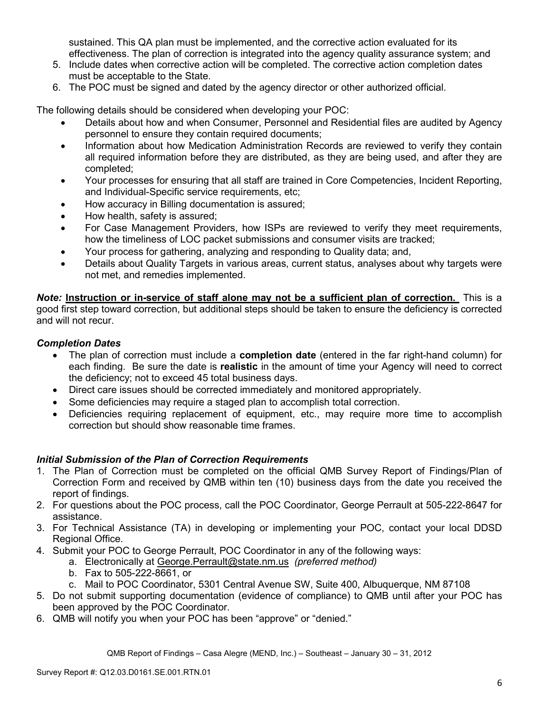sustained. This QA plan must be implemented, and the corrective action evaluated for its effectiveness. The plan of correction is integrated into the agency quality assurance system; and

- 5. Include dates when corrective action will be completed. The corrective action completion dates must be acceptable to the State.
- 6. The POC must be signed and dated by the agency director or other authorized official.

The following details should be considered when developing your POC:

- Details about how and when Consumer, Personnel and Residential files are audited by Agency personnel to ensure they contain required documents;
- Information about how Medication Administration Records are reviewed to verify they contain all required information before they are distributed, as they are being used, and after they are completed;
- Your processes for ensuring that all staff are trained in Core Competencies, Incident Reporting, and Individual-Specific service requirements, etc;
- How accuracy in Billing documentation is assured;
- How health, safety is assured;
- For Case Management Providers, how ISPs are reviewed to verify they meet requirements, how the timeliness of LOC packet submissions and consumer visits are tracked;
- Your process for gathering, analyzing and responding to Quality data; and,
- Details about Quality Targets in various areas, current status, analyses about why targets were not met, and remedies implemented.

*Note:* **Instruction or in-service of staff alone may not be a sufficient plan of correction.** This is a good first step toward correction, but additional steps should be taken to ensure the deficiency is corrected and will not recur.

## *Completion Dates*

- The plan of correction must include a **completion date** (entered in the far right-hand column) for each finding. Be sure the date is **realistic** in the amount of time your Agency will need to correct the deficiency; not to exceed 45 total business days.
- Direct care issues should be corrected immediately and monitored appropriately.
- Some deficiencies may require a staged plan to accomplish total correction.
- Deficiencies requiring replacement of equipment, etc., may require more time to accomplish correction but should show reasonable time frames.

## *Initial Submission of the Plan of Correction Requirements*

- 1. The Plan of Correction must be completed on the official QMB Survey Report of Findings/Plan of Correction Form and received by QMB within ten (10) business days from the date you received the report of findings.
- 2. For questions about the POC process, call the POC Coordinator, George Perrault at 505-222-8647 for assistance.
- 3. For Technical Assistance (TA) in developing or implementing your POC, contact your local DDSD Regional Office.
- 4. Submit your POC to George Perrault, POC Coordinator in any of the following ways:
	- a. Electronically at George.Perrault@state.nm.us *(preferred method)*
	- b. Fax to 505-222-8661, or
	- c. Mail to POC Coordinator, 5301 Central Avenue SW, Suite 400, Albuquerque, NM 87108
- 5. Do not submit supporting documentation (evidence of compliance) to QMB until after your POC has been approved by the POC Coordinator.
- 6. QMB will notify you when your POC has been "approve" or "denied."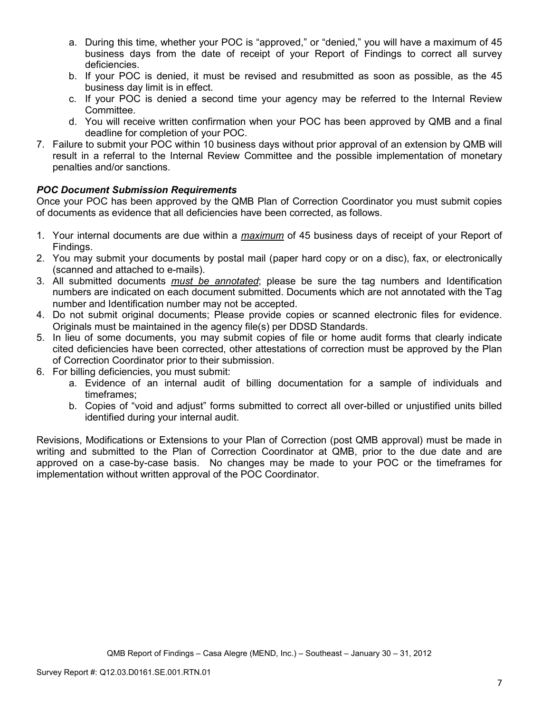- a. During this time, whether your POC is "approved," or "denied," you will have a maximum of 45 business days from the date of receipt of your Report of Findings to correct all survey deficiencies.
- b. If your POC is denied, it must be revised and resubmitted as soon as possible, as the 45 business day limit is in effect.
- c. If your POC is denied a second time your agency may be referred to the Internal Review Committee.
- d. You will receive written confirmation when your POC has been approved by QMB and a final deadline for completion of your POC.
- 7. Failure to submit your POC within 10 business days without prior approval of an extension by QMB will result in a referral to the Internal Review Committee and the possible implementation of monetary penalties and/or sanctions.

# *POC Document Submission Requirements*

Once your POC has been approved by the QMB Plan of Correction Coordinator you must submit copies of documents as evidence that all deficiencies have been corrected, as follows.

- 1. Your internal documents are due within a *maximum* of 45 business days of receipt of your Report of Findings.
- 2. You may submit your documents by postal mail (paper hard copy or on a disc), fax, or electronically (scanned and attached to e-mails).
- 3. All submitted documents *must be annotated*; please be sure the tag numbers and Identification numbers are indicated on each document submitted. Documents which are not annotated with the Tag number and Identification number may not be accepted.
- 4. Do not submit original documents; Please provide copies or scanned electronic files for evidence. Originals must be maintained in the agency file(s) per DDSD Standards.
- 5. In lieu of some documents, you may submit copies of file or home audit forms that clearly indicate cited deficiencies have been corrected, other attestations of correction must be approved by the Plan of Correction Coordinator prior to their submission.
- 6. For billing deficiencies, you must submit:
	- a. Evidence of an internal audit of billing documentation for a sample of individuals and timeframes;
	- b. Copies of "void and adjust" forms submitted to correct all over-billed or unjustified units billed identified during your internal audit.

Revisions, Modifications or Extensions to your Plan of Correction (post QMB approval) must be made in writing and submitted to the Plan of Correction Coordinator at QMB, prior to the due date and are approved on a case-by-case basis. No changes may be made to your POC or the timeframes for implementation without written approval of the POC Coordinator.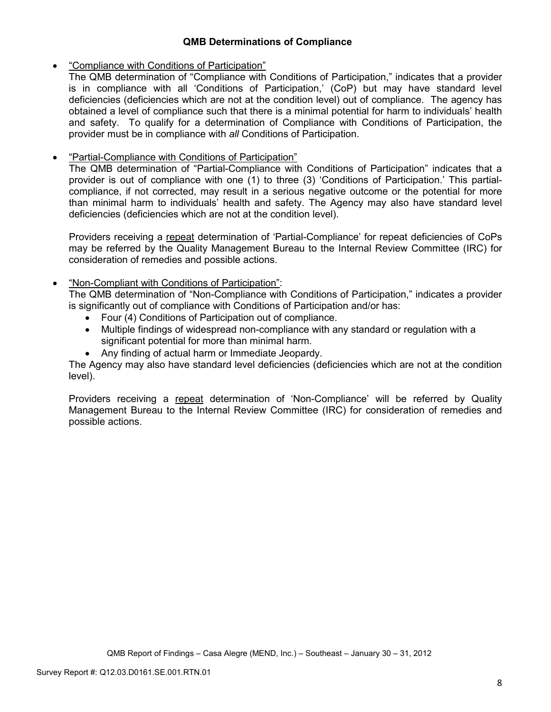## **QMB Determinations of Compliance**

## • "Compliance with Conditions of Participation"

The QMB determination of "Compliance with Conditions of Participation," indicates that a provider is in compliance with all 'Conditions of Participation,' (CoP) but may have standard level deficiencies (deficiencies which are not at the condition level) out of compliance. The agency has obtained a level of compliance such that there is a minimal potential for harm to individuals' health and safety. To qualify for a determination of Compliance with Conditions of Participation, the provider must be in compliance with *all* Conditions of Participation.

# • "Partial-Compliance with Conditions of Participation"

The QMB determination of "Partial-Compliance with Conditions of Participation" indicates that a provider is out of compliance with one (1) to three (3) 'Conditions of Participation.' This partialcompliance, if not corrected, may result in a serious negative outcome or the potential for more than minimal harm to individuals' health and safety. The Agency may also have standard level deficiencies (deficiencies which are not at the condition level).

Providers receiving a repeat determination of 'Partial-Compliance' for repeat deficiencies of CoPs may be referred by the Quality Management Bureau to the Internal Review Committee (IRC) for consideration of remedies and possible actions.

# • "Non-Compliant with Conditions of Participation":

The QMB determination of "Non-Compliance with Conditions of Participation," indicates a provider is significantly out of compliance with Conditions of Participation and/or has:

- Four (4) Conditions of Participation out of compliance.
- Multiple findings of widespread non-compliance with any standard or regulation with a significant potential for more than minimal harm.
- Any finding of actual harm or Immediate Jeopardy.

The Agency may also have standard level deficiencies (deficiencies which are not at the condition level).

Providers receiving a repeat determination of 'Non-Compliance' will be referred by Quality Management Bureau to the Internal Review Committee (IRC) for consideration of remedies and possible actions.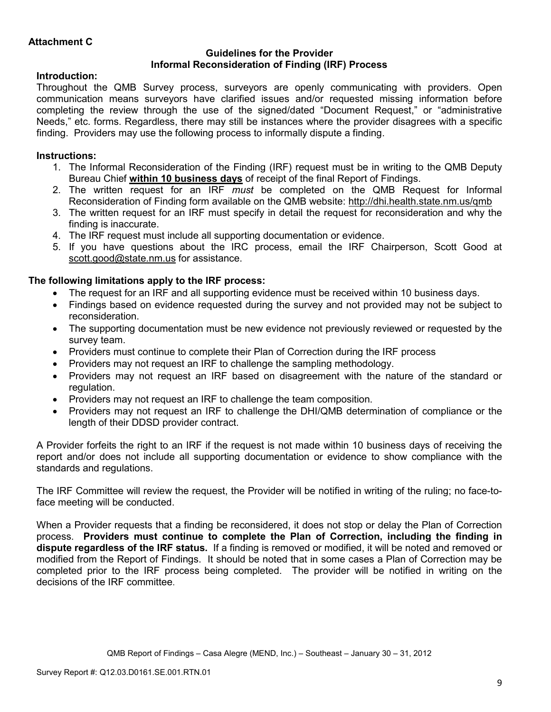### **Guidelines for the Provider Informal Reconsideration of Finding (IRF) Process**

# **Introduction:**

Throughout the QMB Survey process, surveyors are openly communicating with providers. Open communication means surveyors have clarified issues and/or requested missing information before completing the review through the use of the signed/dated "Document Request," or "administrative Needs," etc. forms. Regardless, there may still be instances where the provider disagrees with a specific finding. Providers may use the following process to informally dispute a finding.

# **Instructions:**

- 1. The Informal Reconsideration of the Finding (IRF) request must be in writing to the QMB Deputy Bureau Chief **within 10 business days** of receipt of the final Report of Findings.
- 2. The written request for an IRF *must* be completed on the QMB Request for Informal Reconsideration of Finding form available on the QMB website: http://dhi.health.state.nm.us/qmb
- 3. The written request for an IRF must specify in detail the request for reconsideration and why the finding is inaccurate.
- 4. The IRF request must include all supporting documentation or evidence.
- 5. If you have questions about the IRC process, email the IRF Chairperson, Scott Good at scott.good@state.nm.us for assistance.

# **The following limitations apply to the IRF process:**

- The request for an IRF and all supporting evidence must be received within 10 business days.
- Findings based on evidence requested during the survey and not provided may not be subject to reconsideration.
- The supporting documentation must be new evidence not previously reviewed or requested by the survey team.
- Providers must continue to complete their Plan of Correction during the IRF process
- Providers may not request an IRF to challenge the sampling methodology.
- Providers may not request an IRF based on disagreement with the nature of the standard or regulation.
- Providers may not request an IRF to challenge the team composition.
- Providers may not request an IRF to challenge the DHI/QMB determination of compliance or the length of their DDSD provider contract.

A Provider forfeits the right to an IRF if the request is not made within 10 business days of receiving the report and/or does not include all supporting documentation or evidence to show compliance with the standards and regulations.

The IRF Committee will review the request, the Provider will be notified in writing of the ruling; no face-toface meeting will be conducted.

When a Provider requests that a finding be reconsidered, it does not stop or delay the Plan of Correction process. **Providers must continue to complete the Plan of Correction, including the finding in dispute regardless of the IRF status.** If a finding is removed or modified, it will be noted and removed or modified from the Report of Findings. It should be noted that in some cases a Plan of Correction may be completed prior to the IRF process being completed. The provider will be notified in writing on the decisions of the IRF committee.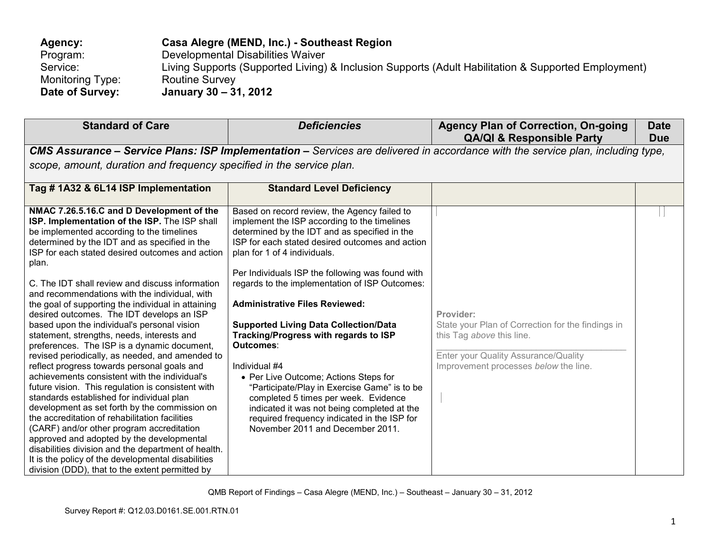| <b>Agency:</b>   | Casa Alegre (MEND, Inc.) - Southeast Region                                                         |
|------------------|-----------------------------------------------------------------------------------------------------|
| Program:         | Developmental Disabilities Waiver                                                                   |
| Service:         | Living Supports (Supported Living) & Inclusion Supports (Adult Habilitation & Supported Employment) |
| Monitoring Type: | <b>Routine Survey</b>                                                                               |
| Date of Survey:  | January 30 – 31, 2012                                                                               |

| <b>Standard of Care</b>                                                                                                                                                                                                                                                                                                                                                                                                                                                                                                                                                                                                                                                                                                                                                                                                                                                                                                                                                                                                                                                                                                                                                                                                   | <b>Deficiencies</b>                                                                                                                                                                                                                                                                                                                                                                                                                                                                                                                                                                                                                                                                                                                                                       | <b>Agency Plan of Correction, On-going</b><br><b>QA/QI &amp; Responsible Party</b>                                                                                           | <b>Date</b><br><b>Due</b> |
|---------------------------------------------------------------------------------------------------------------------------------------------------------------------------------------------------------------------------------------------------------------------------------------------------------------------------------------------------------------------------------------------------------------------------------------------------------------------------------------------------------------------------------------------------------------------------------------------------------------------------------------------------------------------------------------------------------------------------------------------------------------------------------------------------------------------------------------------------------------------------------------------------------------------------------------------------------------------------------------------------------------------------------------------------------------------------------------------------------------------------------------------------------------------------------------------------------------------------|---------------------------------------------------------------------------------------------------------------------------------------------------------------------------------------------------------------------------------------------------------------------------------------------------------------------------------------------------------------------------------------------------------------------------------------------------------------------------------------------------------------------------------------------------------------------------------------------------------------------------------------------------------------------------------------------------------------------------------------------------------------------------|------------------------------------------------------------------------------------------------------------------------------------------------------------------------------|---------------------------|
|                                                                                                                                                                                                                                                                                                                                                                                                                                                                                                                                                                                                                                                                                                                                                                                                                                                                                                                                                                                                                                                                                                                                                                                                                           | CMS Assurance - Service Plans: ISP Implementation - Services are delivered in accordance with the service plan, including type,                                                                                                                                                                                                                                                                                                                                                                                                                                                                                                                                                                                                                                           |                                                                                                                                                                              |                           |
| scope, amount, duration and frequency specified in the service plan.                                                                                                                                                                                                                                                                                                                                                                                                                                                                                                                                                                                                                                                                                                                                                                                                                                                                                                                                                                                                                                                                                                                                                      |                                                                                                                                                                                                                                                                                                                                                                                                                                                                                                                                                                                                                                                                                                                                                                           |                                                                                                                                                                              |                           |
| Tag #1A32 & 6L14 ISP Implementation                                                                                                                                                                                                                                                                                                                                                                                                                                                                                                                                                                                                                                                                                                                                                                                                                                                                                                                                                                                                                                                                                                                                                                                       | <b>Standard Level Deficiency</b>                                                                                                                                                                                                                                                                                                                                                                                                                                                                                                                                                                                                                                                                                                                                          |                                                                                                                                                                              |                           |
| NMAC 7.26.5.16.C and D Development of the<br>ISP. Implementation of the ISP. The ISP shall<br>be implemented according to the timelines<br>determined by the IDT and as specified in the<br>ISP for each stated desired outcomes and action<br>plan.<br>C. The IDT shall review and discuss information<br>and recommendations with the individual, with<br>the goal of supporting the individual in attaining<br>desired outcomes. The IDT develops an ISP<br>based upon the individual's personal vision<br>statement, strengths, needs, interests and<br>preferences. The ISP is a dynamic document,<br>revised periodically, as needed, and amended to<br>reflect progress towards personal goals and<br>achievements consistent with the individual's<br>future vision. This regulation is consistent with<br>standards established for individual plan<br>development as set forth by the commission on<br>the accreditation of rehabilitation facilities<br>(CARF) and/or other program accreditation<br>approved and adopted by the developmental<br>disabilities division and the department of health.<br>It is the policy of the developmental disabilities<br>division (DDD), that to the extent permitted by | Based on record review, the Agency failed to<br>implement the ISP according to the timelines<br>determined by the IDT and as specified in the<br>ISP for each stated desired outcomes and action<br>plan for 1 of 4 individuals.<br>Per Individuals ISP the following was found with<br>regards to the implementation of ISP Outcomes:<br><b>Administrative Files Reviewed:</b><br><b>Supported Living Data Collection/Data</b><br>Tracking/Progress with regards to ISP<br>Outcomes:<br>Individual #4<br>• Per Live Outcome; Actions Steps for<br>"Participate/Play in Exercise Game" is to be<br>completed 5 times per week. Evidence<br>indicated it was not being completed at the<br>required frequency indicated in the ISP for<br>November 2011 and December 2011. | Provider:<br>State your Plan of Correction for the findings in<br>this Tag above this line.<br>Enter your Quality Assurance/Quality<br>Improvement processes below the line. |                           |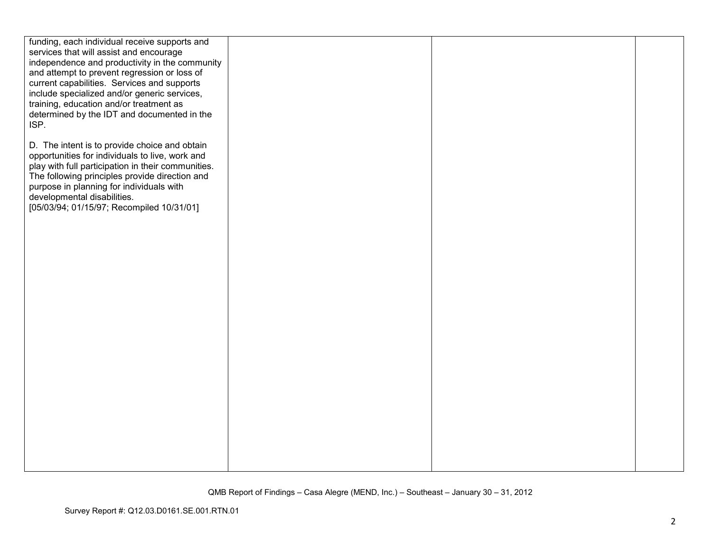| funding, each individual receive supports and      |  |  |
|----------------------------------------------------|--|--|
| services that will assist and encourage            |  |  |
|                                                    |  |  |
| independence and productivity in the community     |  |  |
| and attempt to prevent regression or loss of       |  |  |
| current capabilities. Services and supports        |  |  |
| include specialized and/or generic services,       |  |  |
| training, education and/or treatment as            |  |  |
| determined by the IDT and documented in the        |  |  |
| ISP.                                               |  |  |
|                                                    |  |  |
| D. The intent is to provide choice and obtain      |  |  |
| opportunities for individuals to live, work and    |  |  |
| play with full participation in their communities. |  |  |
| The following principles provide direction and     |  |  |
| purpose in planning for individuals with           |  |  |
| developmental disabilities.                        |  |  |
| [05/03/94; 01/15/97; Recompiled 10/31/01]          |  |  |
|                                                    |  |  |
|                                                    |  |  |
|                                                    |  |  |
|                                                    |  |  |
|                                                    |  |  |
|                                                    |  |  |
|                                                    |  |  |
|                                                    |  |  |
|                                                    |  |  |
|                                                    |  |  |
|                                                    |  |  |
|                                                    |  |  |
|                                                    |  |  |
|                                                    |  |  |
|                                                    |  |  |
|                                                    |  |  |
|                                                    |  |  |
|                                                    |  |  |
|                                                    |  |  |
|                                                    |  |  |
|                                                    |  |  |
|                                                    |  |  |
|                                                    |  |  |
|                                                    |  |  |
|                                                    |  |  |
|                                                    |  |  |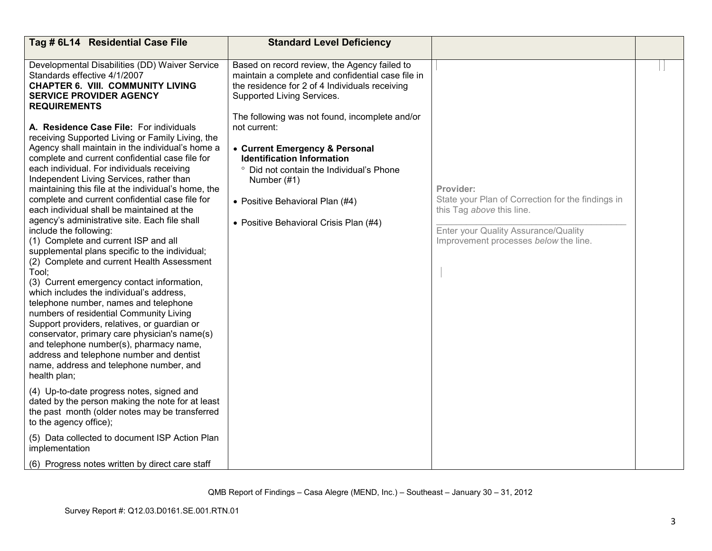| Tag # 6L14 Residential Case File                                                                                                                                                                                                                                                                                                                                                                                                                                                                                                                                                                                                                                                                                                                                                                                                                                                                                                                                                                                                                                                                                                                                                                                                                                                                         | <b>Standard Level Deficiency</b>                                                                                                                                                                                                                                                                                                                                                                                                                                   |                                                                                                                                                                              |  |
|----------------------------------------------------------------------------------------------------------------------------------------------------------------------------------------------------------------------------------------------------------------------------------------------------------------------------------------------------------------------------------------------------------------------------------------------------------------------------------------------------------------------------------------------------------------------------------------------------------------------------------------------------------------------------------------------------------------------------------------------------------------------------------------------------------------------------------------------------------------------------------------------------------------------------------------------------------------------------------------------------------------------------------------------------------------------------------------------------------------------------------------------------------------------------------------------------------------------------------------------------------------------------------------------------------|--------------------------------------------------------------------------------------------------------------------------------------------------------------------------------------------------------------------------------------------------------------------------------------------------------------------------------------------------------------------------------------------------------------------------------------------------------------------|------------------------------------------------------------------------------------------------------------------------------------------------------------------------------|--|
| Developmental Disabilities (DD) Waiver Service<br>Standards effective 4/1/2007<br><b>CHAPTER 6. VIII. COMMUNITY LIVING</b><br><b>SERVICE PROVIDER AGENCY</b><br><b>REQUIREMENTS</b><br>A. Residence Case File: For individuals<br>receiving Supported Living or Family Living, the<br>Agency shall maintain in the individual's home a<br>complete and current confidential case file for<br>each individual. For individuals receiving<br>Independent Living Services, rather than<br>maintaining this file at the individual's home, the<br>complete and current confidential case file for<br>each individual shall be maintained at the<br>agency's administrative site. Each file shall<br>include the following:<br>(1) Complete and current ISP and all<br>supplemental plans specific to the individual;<br>(2) Complete and current Health Assessment<br>Tool:<br>(3) Current emergency contact information,<br>which includes the individual's address,<br>telephone number, names and telephone<br>numbers of residential Community Living<br>Support providers, relatives, or guardian or<br>conservator, primary care physician's name(s)<br>and telephone number(s), pharmacy name,<br>address and telephone number and dentist<br>name, address and telephone number, and<br>health plan; | Based on record review, the Agency failed to<br>maintain a complete and confidential case file in<br>the residence for 2 of 4 Individuals receiving<br>Supported Living Services.<br>The following was not found, incomplete and/or<br>not current:<br>• Current Emergency & Personal<br><b>Identification Information</b><br>° Did not contain the Individual's Phone<br>Number (#1)<br>• Positive Behavioral Plan (#4)<br>• Positive Behavioral Crisis Plan (#4) | Provider:<br>State your Plan of Correction for the findings in<br>this Tag above this line.<br>Enter your Quality Assurance/Quality<br>Improvement processes below the line. |  |
| (4) Up-to-date progress notes, signed and<br>dated by the person making the note for at least<br>the past month (older notes may be transferred<br>to the agency office);                                                                                                                                                                                                                                                                                                                                                                                                                                                                                                                                                                                                                                                                                                                                                                                                                                                                                                                                                                                                                                                                                                                                |                                                                                                                                                                                                                                                                                                                                                                                                                                                                    |                                                                                                                                                                              |  |
| (5) Data collected to document ISP Action Plan<br>implementation                                                                                                                                                                                                                                                                                                                                                                                                                                                                                                                                                                                                                                                                                                                                                                                                                                                                                                                                                                                                                                                                                                                                                                                                                                         |                                                                                                                                                                                                                                                                                                                                                                                                                                                                    |                                                                                                                                                                              |  |
| (6) Progress notes written by direct care staff                                                                                                                                                                                                                                                                                                                                                                                                                                                                                                                                                                                                                                                                                                                                                                                                                                                                                                                                                                                                                                                                                                                                                                                                                                                          |                                                                                                                                                                                                                                                                                                                                                                                                                                                                    |                                                                                                                                                                              |  |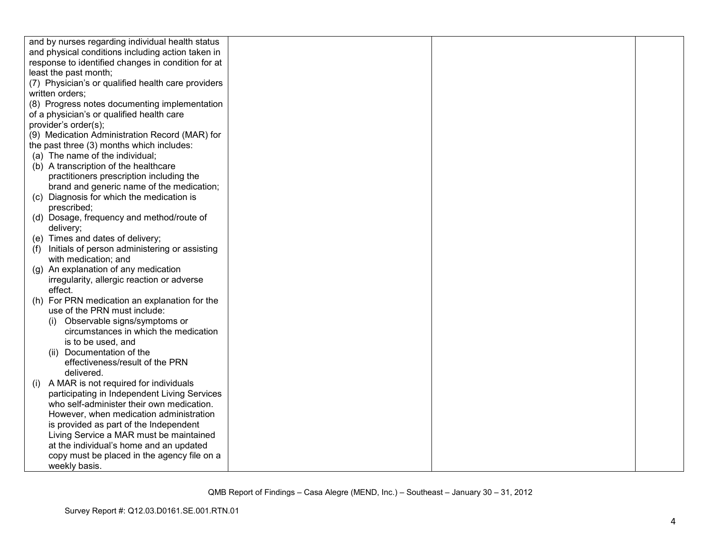| and by nurses regarding individual health status     |  |  |
|------------------------------------------------------|--|--|
| and physical conditions including action taken in    |  |  |
| response to identified changes in condition for at   |  |  |
| least the past month;                                |  |  |
| (7) Physician's or qualified health care providers   |  |  |
| written orders;                                      |  |  |
| (8) Progress notes documenting implementation        |  |  |
| of a physician's or qualified health care            |  |  |
| provider's order(s);                                 |  |  |
| (9) Medication Administration Record (MAR) for       |  |  |
| the past three (3) months which includes:            |  |  |
| (a) The name of the individual;                      |  |  |
| (b) A transcription of the healthcare                |  |  |
| practitioners prescription including the             |  |  |
| brand and generic name of the medication;            |  |  |
| (c) Diagnosis for which the medication is            |  |  |
| prescribed;                                          |  |  |
| (d) Dosage, frequency and method/route of            |  |  |
| delivery;                                            |  |  |
| (e) Times and dates of delivery;                     |  |  |
| Initials of person administering or assisting<br>(f) |  |  |
| with medication; and                                 |  |  |
| (g) An explanation of any medication                 |  |  |
| irregularity, allergic reaction or adverse           |  |  |
| effect.                                              |  |  |
| For PRN medication an explanation for the<br>(h)     |  |  |
| use of the PRN must include:                         |  |  |
| Observable signs/symptoms or                         |  |  |
| circumstances in which the medication                |  |  |
| is to be used, and                                   |  |  |
| (ii) Documentation of the                            |  |  |
| effectiveness/result of the PRN                      |  |  |
| delivered.                                           |  |  |
| A MAR is not required for individuals<br>(1)         |  |  |
| participating in Independent Living Services         |  |  |
| who self-administer their own medication.            |  |  |
| However, when medication administration              |  |  |
| is provided as part of the Independent               |  |  |
| Living Service a MAR must be maintained              |  |  |
| at the individual's home and an updated              |  |  |
| copy must be placed in the agency file on a          |  |  |
| weekly basis.                                        |  |  |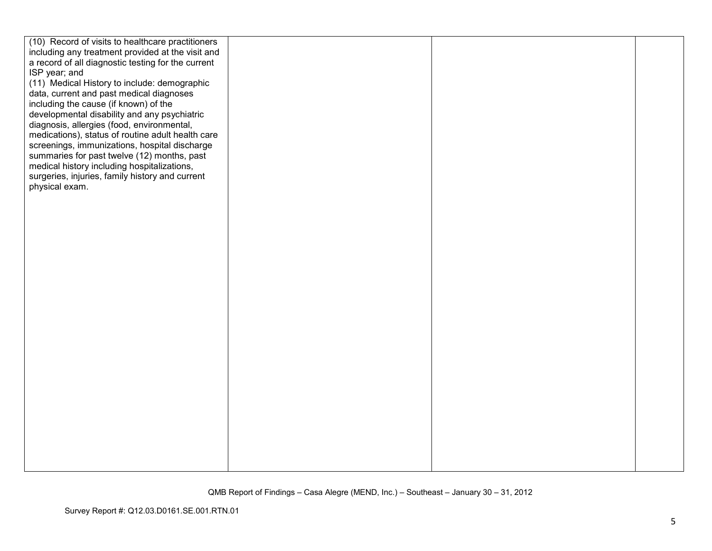| (10) Record of visits to healthcare practitioners  |  |  |
|----------------------------------------------------|--|--|
| including any treatment provided at the visit and  |  |  |
| a record of all diagnostic testing for the current |  |  |
| ISP year; and                                      |  |  |
| (11) Medical History to include: demographic       |  |  |
| data, current and past medical diagnoses           |  |  |
| including the cause (if known) of the              |  |  |
| developmental disability and any psychiatric       |  |  |
| diagnosis, allergies (food, environmental,         |  |  |
| medications), status of routine adult health care  |  |  |
| screenings, immunizations, hospital discharge      |  |  |
| summaries for past twelve (12) months, past        |  |  |
| medical history including hospitalizations,        |  |  |
| surgeries, injuries, family history and current    |  |  |
| physical exam.                                     |  |  |
|                                                    |  |  |
|                                                    |  |  |
|                                                    |  |  |
|                                                    |  |  |
|                                                    |  |  |
|                                                    |  |  |
|                                                    |  |  |
|                                                    |  |  |
|                                                    |  |  |
|                                                    |  |  |
|                                                    |  |  |
|                                                    |  |  |
|                                                    |  |  |
|                                                    |  |  |
|                                                    |  |  |
|                                                    |  |  |
|                                                    |  |  |
|                                                    |  |  |
|                                                    |  |  |
|                                                    |  |  |
|                                                    |  |  |
|                                                    |  |  |
|                                                    |  |  |
|                                                    |  |  |
|                                                    |  |  |
|                                                    |  |  |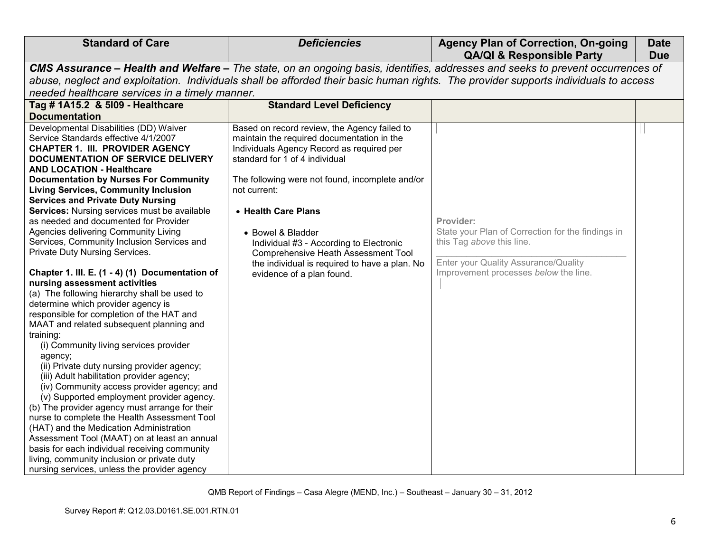| <b>Standard of Care</b><br><b>Deficiencies</b>                                                                                                                                                                                                                                                                                                                                                                                                                                                                                                                                                                                                                                                                                                                                                                                                                                                                                                                                                                                                                                                                                                                                                                                                                                                                                                                                                                                                                                                                                                                                                                                                                                                                                                                  | <b>Agency Plan of Correction, On-going</b><br><b>QA/QI &amp; Responsible Party</b>                                                                                           | <b>Date</b><br><b>Due</b> |
|-----------------------------------------------------------------------------------------------------------------------------------------------------------------------------------------------------------------------------------------------------------------------------------------------------------------------------------------------------------------------------------------------------------------------------------------------------------------------------------------------------------------------------------------------------------------------------------------------------------------------------------------------------------------------------------------------------------------------------------------------------------------------------------------------------------------------------------------------------------------------------------------------------------------------------------------------------------------------------------------------------------------------------------------------------------------------------------------------------------------------------------------------------------------------------------------------------------------------------------------------------------------------------------------------------------------------------------------------------------------------------------------------------------------------------------------------------------------------------------------------------------------------------------------------------------------------------------------------------------------------------------------------------------------------------------------------------------------------------------------------------------------|------------------------------------------------------------------------------------------------------------------------------------------------------------------------------|---------------------------|
| CMS Assurance - Health and Welfare - The state, on an ongoing basis, identifies, addresses and seeks to prevent occurrences of                                                                                                                                                                                                                                                                                                                                                                                                                                                                                                                                                                                                                                                                                                                                                                                                                                                                                                                                                                                                                                                                                                                                                                                                                                                                                                                                                                                                                                                                                                                                                                                                                                  |                                                                                                                                                                              |                           |
| abuse, neglect and exploitation. Individuals shall be afforded their basic human rights. The provider supports individuals to access                                                                                                                                                                                                                                                                                                                                                                                                                                                                                                                                                                                                                                                                                                                                                                                                                                                                                                                                                                                                                                                                                                                                                                                                                                                                                                                                                                                                                                                                                                                                                                                                                            |                                                                                                                                                                              |                           |
| needed healthcare services in a timely manner.                                                                                                                                                                                                                                                                                                                                                                                                                                                                                                                                                                                                                                                                                                                                                                                                                                                                                                                                                                                                                                                                                                                                                                                                                                                                                                                                                                                                                                                                                                                                                                                                                                                                                                                  |                                                                                                                                                                              |                           |
| Tag # 1A15.2 & 5109 - Healthcare<br><b>Standard Level Deficiency</b>                                                                                                                                                                                                                                                                                                                                                                                                                                                                                                                                                                                                                                                                                                                                                                                                                                                                                                                                                                                                                                                                                                                                                                                                                                                                                                                                                                                                                                                                                                                                                                                                                                                                                            |                                                                                                                                                                              |                           |
| <b>Documentation</b>                                                                                                                                                                                                                                                                                                                                                                                                                                                                                                                                                                                                                                                                                                                                                                                                                                                                                                                                                                                                                                                                                                                                                                                                                                                                                                                                                                                                                                                                                                                                                                                                                                                                                                                                            |                                                                                                                                                                              |                           |
| Developmental Disabilities (DD) Waiver<br>Based on record review, the Agency failed to<br>maintain the required documentation in the<br>Service Standards effective 4/1/2007<br>Individuals Agency Record as required per<br><b>CHAPTER 1. III. PROVIDER AGENCY</b><br>standard for 1 of 4 individual<br><b>DOCUMENTATION OF SERVICE DELIVERY</b><br><b>AND LOCATION - Healthcare</b><br><b>Documentation by Nurses For Community</b><br>The following were not found, incomplete and/or<br><b>Living Services, Community Inclusion</b><br>not current:<br><b>Services and Private Duty Nursing</b><br>Services: Nursing services must be available<br>• Health Care Plans<br>as needed and documented for Provider<br>Agencies delivering Community Living<br>• Bowel & Bladder<br>Services, Community Inclusion Services and<br>Individual #3 - According to Electronic<br>Private Duty Nursing Services.<br><b>Comprehensive Heath Assessment Tool</b><br>the individual is required to have a plan. No<br>Chapter 1. III. E. (1 - 4) (1) Documentation of<br>evidence of a plan found.<br>nursing assessment activities<br>(a) The following hierarchy shall be used to<br>determine which provider agency is<br>responsible for completion of the HAT and<br>MAAT and related subsequent planning and<br>training:<br>(i) Community living services provider<br>agency;<br>(ii) Private duty nursing provider agency;<br>(iii) Adult habilitation provider agency;<br>(iv) Community access provider agency; and<br>(v) Supported employment provider agency.<br>(b) The provider agency must arrange for their<br>nurse to complete the Health Assessment Tool<br>(HAT) and the Medication Administration<br>Assessment Tool (MAAT) on at least an annual | Provider:<br>State your Plan of Correction for the findings in<br>this Tag above this line.<br>Enter your Quality Assurance/Quality<br>Improvement processes below the line. |                           |
| basis for each individual receiving community                                                                                                                                                                                                                                                                                                                                                                                                                                                                                                                                                                                                                                                                                                                                                                                                                                                                                                                                                                                                                                                                                                                                                                                                                                                                                                                                                                                                                                                                                                                                                                                                                                                                                                                   |                                                                                                                                                                              |                           |
| living, community inclusion or private duty                                                                                                                                                                                                                                                                                                                                                                                                                                                                                                                                                                                                                                                                                                                                                                                                                                                                                                                                                                                                                                                                                                                                                                                                                                                                                                                                                                                                                                                                                                                                                                                                                                                                                                                     |                                                                                                                                                                              |                           |
| nursing services, unless the provider agency                                                                                                                                                                                                                                                                                                                                                                                                                                                                                                                                                                                                                                                                                                                                                                                                                                                                                                                                                                                                                                                                                                                                                                                                                                                                                                                                                                                                                                                                                                                                                                                                                                                                                                                    |                                                                                                                                                                              |                           |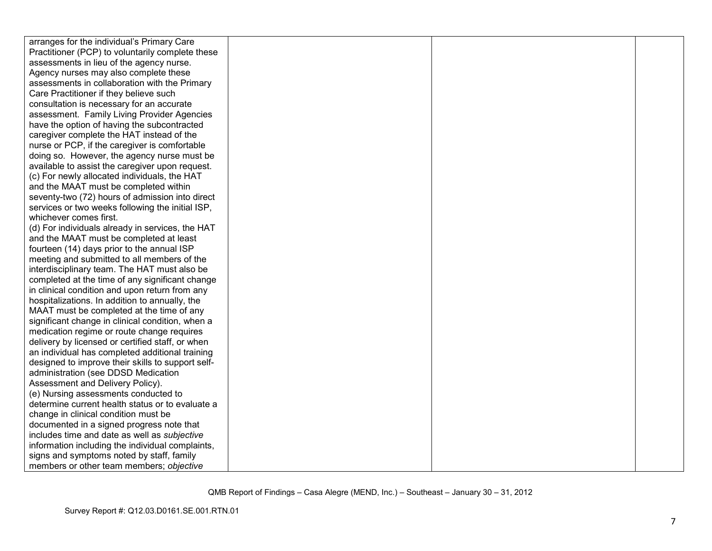| arranges for the individual's Primary Care        |  |  |
|---------------------------------------------------|--|--|
| Practitioner (PCP) to voluntarily complete these  |  |  |
| assessments in lieu of the agency nurse.          |  |  |
| Agency nurses may also complete these             |  |  |
| assessments in collaboration with the Primary     |  |  |
| Care Practitioner if they believe such            |  |  |
| consultation is necessary for an accurate         |  |  |
| assessment. Family Living Provider Agencies       |  |  |
| have the option of having the subcontracted       |  |  |
| caregiver complete the HAT instead of the         |  |  |
| nurse or PCP, if the caregiver is comfortable     |  |  |
| doing so. However, the agency nurse must be       |  |  |
| available to assist the caregiver upon request.   |  |  |
| (c) For newly allocated individuals, the HAT      |  |  |
| and the MAAT must be completed within             |  |  |
| seventy-two (72) hours of admission into direct   |  |  |
| services or two weeks following the initial ISP,  |  |  |
| whichever comes first.                            |  |  |
| (d) For individuals already in services, the HAT  |  |  |
| and the MAAT must be completed at least           |  |  |
| fourteen (14) days prior to the annual ISP        |  |  |
| meeting and submitted to all members of the       |  |  |
| interdisciplinary team. The HAT must also be      |  |  |
| completed at the time of any significant change   |  |  |
| in clinical condition and upon return from any    |  |  |
| hospitalizations. In addition to annually, the    |  |  |
| MAAT must be completed at the time of any         |  |  |
| significant change in clinical condition, when a  |  |  |
| medication regime or route change requires        |  |  |
| delivery by licensed or certified staff, or when  |  |  |
| an individual has completed additional training   |  |  |
| designed to improve their skills to support self- |  |  |
| administration (see DDSD Medication               |  |  |
| Assessment and Delivery Policy).                  |  |  |
| (e) Nursing assessments conducted to              |  |  |
| determine current health status or to evaluate a  |  |  |
| change in clinical condition must be              |  |  |
| documented in a signed progress note that         |  |  |
| includes time and date as well as subjective      |  |  |
| information including the individual complaints,  |  |  |
| signs and symptoms noted by staff, family         |  |  |
| members or other team members; objective          |  |  |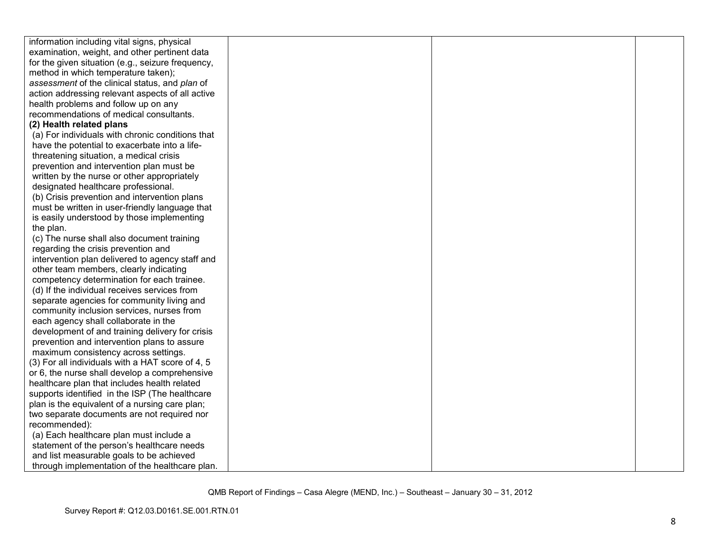| information including vital signs, physical       |  |  |
|---------------------------------------------------|--|--|
| examination, weight, and other pertinent data     |  |  |
| for the given situation (e.g., seizure frequency, |  |  |
| method in which temperature taken);               |  |  |
| assessment of the clinical status, and plan of    |  |  |
| action addressing relevant aspects of all active  |  |  |
| health problems and follow up on any              |  |  |
| recommendations of medical consultants.           |  |  |
| (2) Health related plans                          |  |  |
| (a) For individuals with chronic conditions that  |  |  |
| have the potential to exacerbate into a life-     |  |  |
| threatening situation, a medical crisis           |  |  |
| prevention and intervention plan must be          |  |  |
| written by the nurse or other appropriately       |  |  |
| designated healthcare professional.               |  |  |
| (b) Crisis prevention and intervention plans      |  |  |
| must be written in user-friendly language that    |  |  |
| is easily understood by those implementing        |  |  |
| the plan.                                         |  |  |
| (c) The nurse shall also document training        |  |  |
| regarding the crisis prevention and               |  |  |
| intervention plan delivered to agency staff and   |  |  |
| other team members, clearly indicating            |  |  |
| competency determination for each trainee.        |  |  |
| (d) If the individual receives services from      |  |  |
| separate agencies for community living and        |  |  |
| community inclusion services, nurses from         |  |  |
| each agency shall collaborate in the              |  |  |
| development of and training delivery for crisis   |  |  |
| prevention and intervention plans to assure       |  |  |
| maximum consistency across settings.              |  |  |
| (3) For all individuals with a HAT score of 4, 5  |  |  |
| or 6, the nurse shall develop a comprehensive     |  |  |
| healthcare plan that includes health related      |  |  |
| supports identified in the ISP (The healthcare    |  |  |
| plan is the equivalent of a nursing care plan;    |  |  |
| two separate documents are not required nor       |  |  |
| recommended):                                     |  |  |
| (a) Each healthcare plan must include a           |  |  |
| statement of the person's healthcare needs        |  |  |
| and list measurable goals to be achieved          |  |  |
| through implementation of the healthcare plan.    |  |  |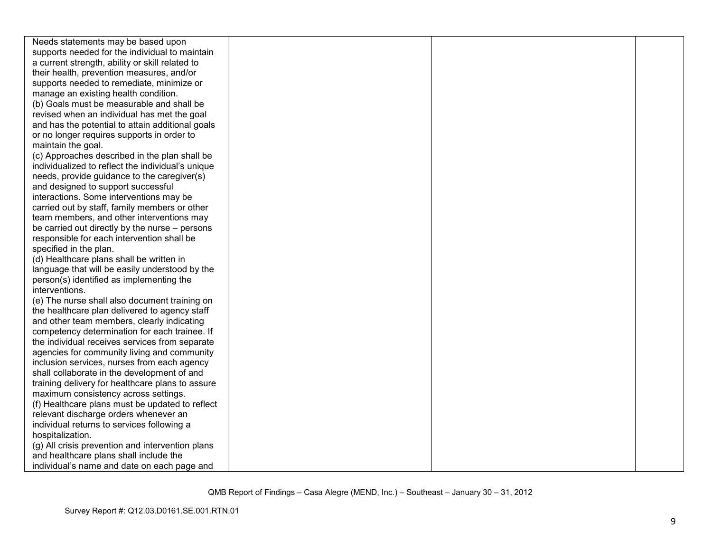| Needs statements may be based upon                |  |  |
|---------------------------------------------------|--|--|
| supports needed for the individual to maintain    |  |  |
| a current strength, ability or skill related to   |  |  |
| their health, prevention measures, and/or         |  |  |
| supports needed to remediate, minimize or         |  |  |
| manage an existing health condition.              |  |  |
| (b) Goals must be measurable and shall be         |  |  |
| revised when an individual has met the goal       |  |  |
| and has the potential to attain additional goals  |  |  |
| or no longer requires supports in order to        |  |  |
| maintain the goal.                                |  |  |
| (c) Approaches described in the plan shall be     |  |  |
| individualized to reflect the individual's unique |  |  |
| needs, provide guidance to the caregiver(s)       |  |  |
| and designed to support successful                |  |  |
| interactions. Some interventions may be           |  |  |
| carried out by staff, family members or other     |  |  |
| team members, and other interventions may         |  |  |
| be carried out directly by the nurse – persons    |  |  |
| responsible for each intervention shall be        |  |  |
| specified in the plan.                            |  |  |
| (d) Healthcare plans shall be written in          |  |  |
| language that will be easily understood by the    |  |  |
| person(s) identified as implementing the          |  |  |
| interventions.                                    |  |  |
| (e) The nurse shall also document training on     |  |  |
| the healthcare plan delivered to agency staff     |  |  |
| and other team members, clearly indicating        |  |  |
| competency determination for each trainee. If     |  |  |
| the individual receives services from separate    |  |  |
| agencies for community living and community       |  |  |
| inclusion services, nurses from each agency       |  |  |
| shall collaborate in the development of and       |  |  |
| training delivery for healthcare plans to assure  |  |  |
| maximum consistency across settings.              |  |  |
| (f) Healthcare plans must be updated to reflect   |  |  |
| relevant discharge orders whenever an             |  |  |
| individual returns to services following a        |  |  |
| hospitalization.                                  |  |  |
| (g) All crisis prevention and intervention plans  |  |  |
| and healthcare plans shall include the            |  |  |
| individual's name and date on each page and       |  |  |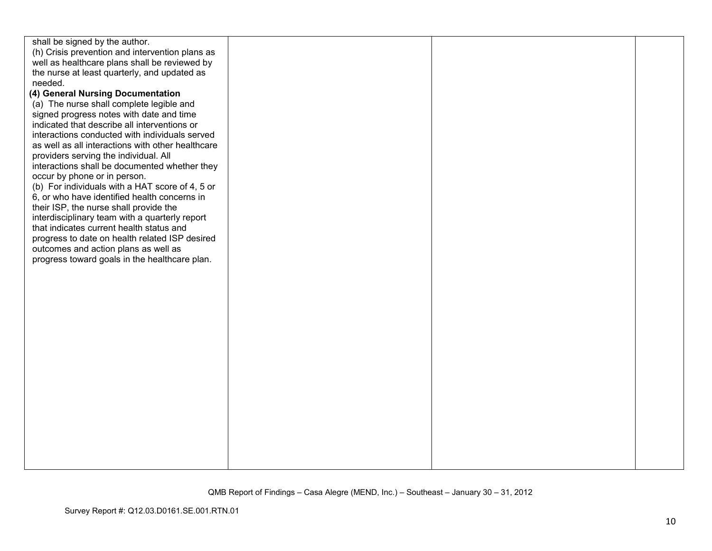| shall be signed by the author.                                                       |  |  |
|--------------------------------------------------------------------------------------|--|--|
| (h) Crisis prevention and intervention plans as                                      |  |  |
| well as healthcare plans shall be reviewed by                                        |  |  |
| the nurse at least quarterly, and updated as                                         |  |  |
| needed.                                                                              |  |  |
| (4) General Nursing Documentation                                                    |  |  |
| (a) The nurse shall complete legible and<br>signed progress notes with date and time |  |  |
| indicated that describe all interventions or                                         |  |  |
| interactions conducted with individuals served                                       |  |  |
| as well as all interactions with other healthcare                                    |  |  |
| providers serving the individual. All                                                |  |  |
| interactions shall be documented whether they                                        |  |  |
| occur by phone or in person.                                                         |  |  |
| (b) For individuals with a HAT score of 4, 5 or                                      |  |  |
| 6, or who have identified health concerns in                                         |  |  |
| their ISP, the nurse shall provide the                                               |  |  |
| interdisciplinary team with a quarterly report                                       |  |  |
| that indicates current health status and                                             |  |  |
| progress to date on health related ISP desired                                       |  |  |
| outcomes and action plans as well as                                                 |  |  |
| progress toward goals in the healthcare plan.                                        |  |  |
|                                                                                      |  |  |
|                                                                                      |  |  |
|                                                                                      |  |  |
|                                                                                      |  |  |
|                                                                                      |  |  |
|                                                                                      |  |  |
|                                                                                      |  |  |
|                                                                                      |  |  |
|                                                                                      |  |  |
|                                                                                      |  |  |
|                                                                                      |  |  |
|                                                                                      |  |  |
|                                                                                      |  |  |
|                                                                                      |  |  |
|                                                                                      |  |  |
|                                                                                      |  |  |
|                                                                                      |  |  |
|                                                                                      |  |  |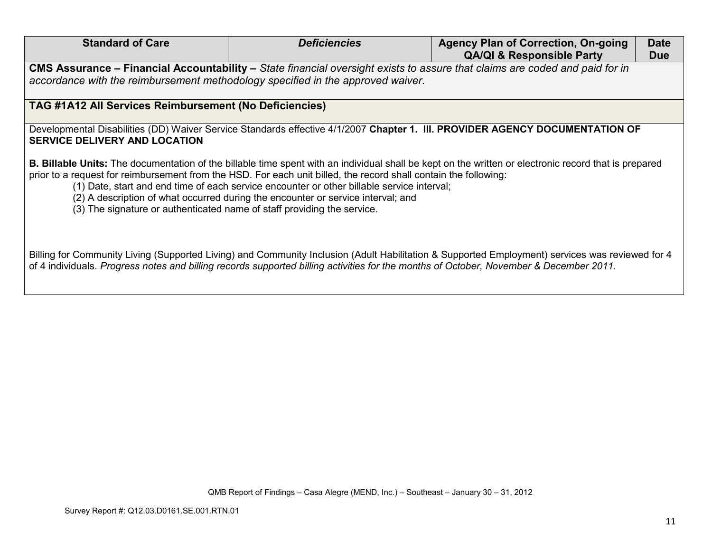| <b>Standard of Care</b>                                                                                                                                                                                                                                                                                                                                                                                                                                                                                                                       | <b>Deficiencies</b> | <b>Agency Plan of Correction, On-going</b><br><b>QA/QI &amp; Responsible Party</b> | <b>Date</b><br><b>Due</b> |  |
|-----------------------------------------------------------------------------------------------------------------------------------------------------------------------------------------------------------------------------------------------------------------------------------------------------------------------------------------------------------------------------------------------------------------------------------------------------------------------------------------------------------------------------------------------|---------------------|------------------------------------------------------------------------------------|---------------------------|--|
| CMS Assurance - Financial Accountability - State financial oversight exists to assure that claims are coded and paid for in<br>accordance with the reimbursement methodology specified in the approved waiver.                                                                                                                                                                                                                                                                                                                                |                     |                                                                                    |                           |  |
| TAG #1A12 All Services Reimbursement (No Deficiencies)                                                                                                                                                                                                                                                                                                                                                                                                                                                                                        |                     |                                                                                    |                           |  |
| Developmental Disabilities (DD) Waiver Service Standards effective 4/1/2007 Chapter 1. III. PROVIDER AGENCY DOCUMENTATION OF<br><b>SERVICE DELIVERY AND LOCATION</b>                                                                                                                                                                                                                                                                                                                                                                          |                     |                                                                                    |                           |  |
| <b>B. Billable Units:</b> The documentation of the billable time spent with an individual shall be kept on the written or electronic record that is prepared<br>prior to a request for reimbursement from the HSD. For each unit billed, the record shall contain the following:<br>(1) Date, start and end time of each service encounter or other billable service interval;<br>(2) A description of what occurred during the encounter or service interval; and<br>(3) The signature or authenticated name of staff providing the service. |                     |                                                                                    |                           |  |
| Billing for Community Living (Supported Living) and Community Inclusion (Adult Habilitation & Supported Employment) services was reviewed for 4<br>of 4 individuals. Progress notes and billing records supported billing activities for the months of October, November & December 2011.                                                                                                                                                                                                                                                     |                     |                                                                                    |                           |  |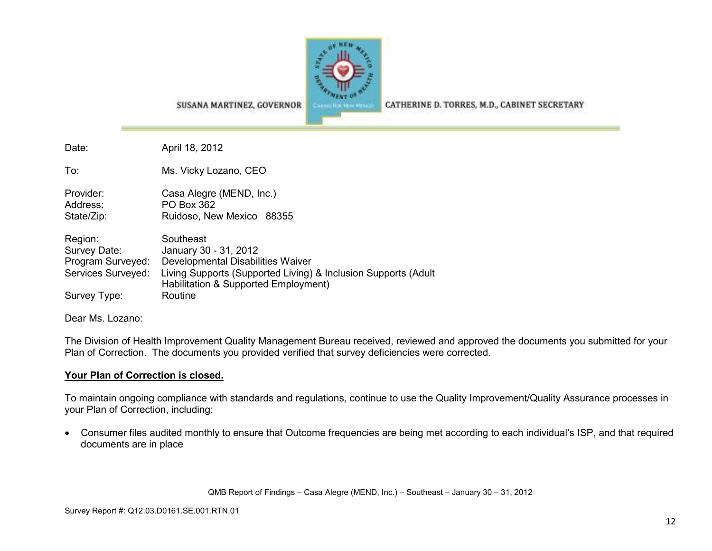

CATHERINE D. TORRES, M.D., CABINET SECRETARY

SUSANA MARTINEZ, GOVERNOR

Date: April 18, 2012

To: Ms. Vicky Lozano, CEO

Provider: Casa Alegre (MEND, Inc.) Address: PO Box 362 State/Zip: Ruidoso, New Mexico 88355

| Region:            | Southeast                                                                                              |
|--------------------|--------------------------------------------------------------------------------------------------------|
| Survey Date:       | January 30 - 31, 2012                                                                                  |
| Program Surveyed:  | Developmental Disabilities Waiver                                                                      |
| Services Surveyed: | Living Supports (Supported Living) & Inclusion Supports (Adult<br>Habilitation & Supported Employment) |
| Survey Type:       | Routine                                                                                                |

Dear Ms. Lozano:

The Division of Health Improvement Quality Management Bureau received, reviewed and approved the documents you submitted for your Plan of Correction. The documents you provided verified that survey deficiencies were corrected.

#### **Your Plan of Correction is closed.**

To maintain ongoing compliance with standards and regulations, continue to use the Quality Improvement/Quality Assurance processes in your Plan of Correction, including:

• Consumer files audited monthly to ensure that Outcome frequencies are being met according to each individual's ISP, and that required documents are in place